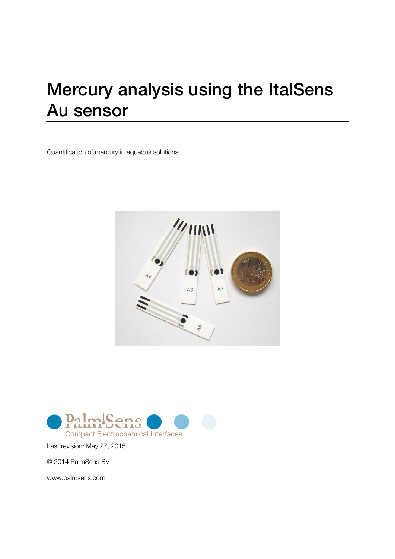# Mercury analysis using the ItalSens Au sensor

Quantification of mercury in aqueous solutions





Last revision: May 27, 2015

© 2014 PalmSens BV

www.palmsens.com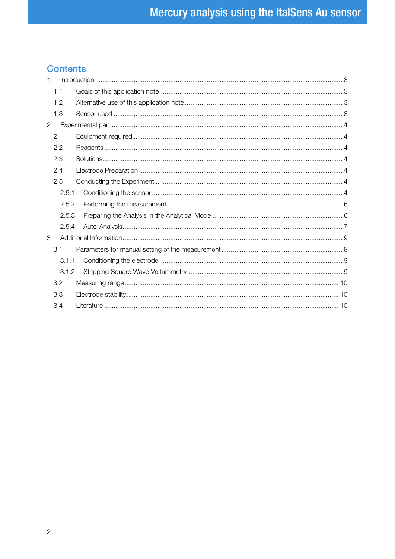## **Contents**

| 1            |       |  |  |
|--------------|-------|--|--|
|              | 1.1   |  |  |
|              | 1.2   |  |  |
|              | 1.3   |  |  |
| $\mathbf{2}$ |       |  |  |
|              | 2.1   |  |  |
|              | 2.2   |  |  |
|              | 2.3   |  |  |
|              | 2.4   |  |  |
|              | 2.5   |  |  |
|              | 2.5.1 |  |  |
|              | 2.5.2 |  |  |
|              | 2.5.3 |  |  |
|              | 2.5.4 |  |  |
| 3            |       |  |  |
|              | 3.1   |  |  |
|              | 3.1.1 |  |  |
|              | 3.1.2 |  |  |
|              | 3.2   |  |  |
|              | 3.3   |  |  |
|              | 3.4   |  |  |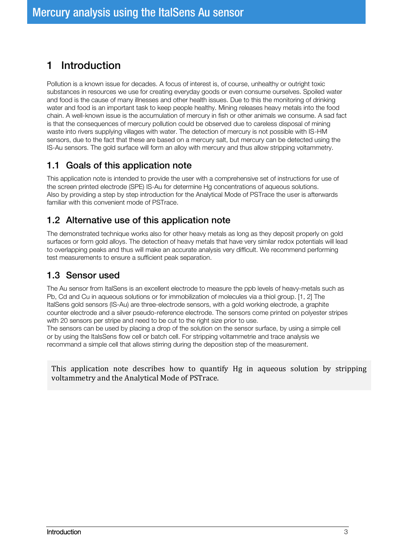# <span id="page-2-0"></span>1 Introduction

Pollution is a known issue for decades. A focus of interest is, of course, unhealthy or outright toxic substances in resources we use for creating everyday goods or even consume ourselves. Spoiled water and food is the cause of many illnesses and other health issues. Due to this the monitoring of drinking water and food is an important task to keep people healthy. Mining releases heavy metals into the food chain. A well-known issue is the accumulation of mercury in fish or other animals we consume. A sad fact is that the consequences of mercury pollution could be observed due to careless disposal of mining waste into rivers supplying villages with water. The detection of mercury is not possible with IS-HM sensors, due to the fact that these are based on a mercury salt, but mercury can be detected using the IS-Au sensors. The gold surface will form an alloy with mercury and thus allow stripping voltammetry.

#### <span id="page-2-1"></span>1.1 Goals of this application note

This application note is intended to provide the user with a comprehensive set of instructions for use of the screen printed electrode (SPE) IS-Au for determine Hg concentrations of aqueous solutions. Also by providing a step by step introduction for the Analytical Mode of PSTrace the user is afterwards familiar with this convenient mode of PSTrace.

#### <span id="page-2-2"></span>1.2 Alternative use of this application note

The demonstrated technique works also for other heavy metals as long as they deposit properly on gold surfaces or form gold alloys. The detection of heavy metals that have very similar redox potentials will lead to overlapping peaks and thus will make an accurate analysis very difficult. We recommend performing test measurements to ensure a sufficient peak separation.

#### <span id="page-2-3"></span>1.3 Sensor used

The Au sensor from ItalSens is an excellent electrode to measure the ppb levels of heavy-metals such as Pb, Cd and Cu in aqueous solutions or for immobilization of molecules via a thiol group. [1, 2] The ItalSens gold sensors (IS-Au) are three-electrode sensors, with a gold working electrode, a graphite counter electrode and a silver pseudo-reference electrode. The sensors come printed on polyester stripes with 20 sensors per stripe and need to be cut to the right size prior to use. The sensors can be used by placing a drop of the solution on the sensor surface, by using a simple cell or by using the ItalsSens flow cell or batch cell. For stripping voltammetrie and trace analysis we

recommand a simple cell that allows stirring during the deposition step of the measurement.

This application note describes how to quantify Hg in aqueous solution by stripping voltammetry and the Analytical Mode of PSTrace.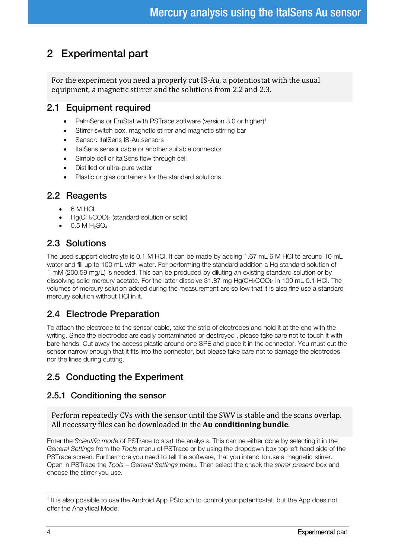# <span id="page-3-0"></span>2 Experimental part

For the experiment you need a properly cut IS-Au, a potentiostat with the usual equipment, a magnetic stirrer and the solutions from [2.2](#page-3-2) and [2.3.](#page-3-3)

#### <span id="page-3-1"></span>2.1 Equipment required

- PalmSens or EmStat with PSTrace software (version 3.0 or higher)<sup>1</sup>
- Stirrer switch box, magnetic stirrer and magnetic stirring bar
- Sensor: ItalSens IS-Au sensors
- ItalSens sensor cable or another suitable connector
- Simple cell or ItalSens flow through cell
- Distilled or ultra-pure water
- Plastic or glas containers for the standard solutions

#### <span id="page-3-2"></span>2.2 Reagents

- 6 M HCl
- $Hg(CH_3COO)$ <sub>2</sub> (standard solution or solid)
- 0.5 M  $H_2$ SO $_4$

## <span id="page-3-3"></span>2.3 Solutions

The used support electrolyte is 0.1 M HCl. It can be made by adding 1.67 mL 6 M HCl to around 10 mL water and fill up to 100 mL with water. For performing the standard addition a Hg standard solution of 1 mM (200.59 mg/L) is needed. This can be produced by diluting an existing standard solution or by dissolving solid mercury acetate. For the latter dissolve 31.87 mg Hg(CH<sub>3</sub>COO)<sub>2</sub> in 100 mL 0.1 HCl. The volumes of mercury solution added during the measurement are so low that it is also fine use a standard mercury solution without HCl in it.

# <span id="page-3-4"></span>2.4 Electrode Preparation

To attach the electrode to the sensor cable, take the strip of electrodes and hold it at the end with the writing. Since the electrodes are easily contaminated or destroyed , please take care not to touch it with bare hands. Cut away the access plastic around one SPE and place it in the connector. You must cut the sensor narrow enough that it fits into the connector, but please take care not to damage the electrodes nor the lines during cutting.

# <span id="page-3-5"></span>2.5 Conducting the Experiment

#### <span id="page-3-6"></span>2.5.1 Conditioning the sensor

Perform repeatedly CVs with the sensor until the SWV is stable and the scans overlap. All necessary files can be downloaded in the **Au conditioning bundle**.

Enter the *Scientific mode* of PSTrace to start the analysis. This can be either done by selecting it in the *General Settings* from the *Tools* menu of PSTrace or by using the dropdown box top left hand side of the PSTrace screen. Furthermore you need to tell the software, that you intend to use a magnetic stirrer. Open in PSTrace the *Tools – General Settings* menu. Then select the check the *stirrer present* box and choose the stirrer you use.

-

<sup>&</sup>lt;sup>1</sup> It is also possible to use the Android App PStouch to control your potentiostat, but the App does not offer the Analytical Mode.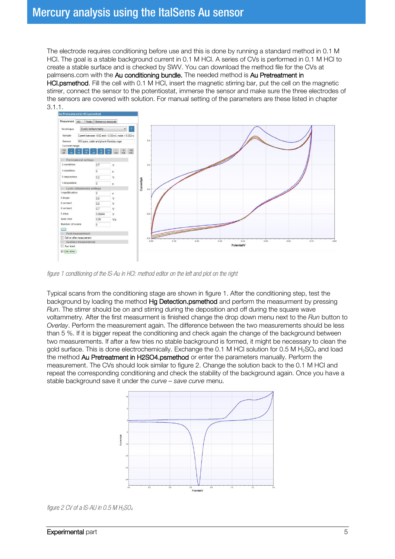The electrode requires conditioning before use and this is done by running a standard method in 0.1 M HCl. The goal is a stable background current in 0.1 M HCl. A series of CVs is performed in 0.1 M HCl to create a stable surface and is checked by SWV. You can download the method file for the CVs at palmsens.com with the Au conditioning bundle. The needed method is Au Pretreatment in HCl.psmethod. Fill the cell with 0.1 M HCl, insert the magnetic stirring bar, put the cell on the magnetic stirrer, connect the sensor to the potentiostat, immerse the sensor and make sure the three electrodes of the sensors are covered with solution. For manual setting of the parameters are these listed in chapter [3.1.1.](#page-8-2)<br>Au Pretreatment in HCL;



<span id="page-4-0"></span>*figure 1 conditioning of the IS-Au in HCl: method editor on the left and plot on the right*

Typical scans from the conditioning stage are shown in [figure 1.](#page-4-0) After the conditioning step, test the background by loading the method Hg Detection.psmethod and perform the measurment by pressing *Run*. The stirrer should be on and stirring during the deposition and off during the square wave voltammetry. After the first measurment is finished change the drop down menu next to the *Run* button to *Overlay*. Perform the measurement again. The difference between the two measurements should be less than 5 %. If it is bigger repeat the conditioning and check again the change of the background between two measurements. If after a few tries no stable background is formed, it might be necessary to clean the gold surface. This is done electrochemically. Exchange the 0.1 M HCl solution for 0.5 M H<sub>2</sub>SO<sub>4</sub> and load the method Au Pretreatment in H2SO4.psmethod or enter the parameters manually. Perform the measurement. The CVs should look similar to [figure 2.](#page-4-1) Change the solution back to the 0.1 M HCl and repeat the corresponding conditioning and check the stability of the background again. Once you have a stable background save it under the *curve – save curve* menu.



<span id="page-4-1"></span>*figure 2 CV of a IS-AU in 0.5 M H2SO4*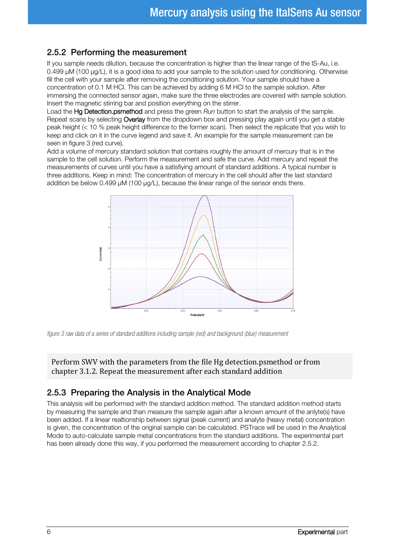#### <span id="page-5-0"></span>2.5.2 Performing the measurement

If you sample needs dilution, because the concentration is higher than the linear range of the IS-Au, i.e. 0.499 µM (100 µg/L), it is a good idea to add your sample to the solution used for conditioning. Otherwise fill the cell with your sample after removing the conditioning solution. Your sample should have a concentration of 0.1 M HCl. This can be achieved by adding 6 M HCl to the sample solution. After immersing the connected sensor again, make sure the three electrodes are covered with sample solution. Insert the magnetic stirring bar and position everything on the stirrer.

Load the Hg Detection.psmethod and press the green *Run* button to start the analysis of the sample. Repeat scans by selecting Overlay from the dropdown box and pressing play again until you get a stable peak height (< 10 % peak height difference to the former scan). Then select the replicate that you wish to keep and click on it in the curve legend and save it. An example for the sample measurement can be seen in [figure 3](#page-5-2) (red curve).

Add a volume of mercury standard solution that contains roughly the amount of mercury that is in the sample to the cell solution. Perform the measurement and safe the curve. Add mercury and repeat the measurements of curves until you have a satisfiying amount of standard additions. A typical number is three additions. Keep in mind: The concentration of mercury in the cell should after the last standard addition be below 0.499 µM (100 µg/L), because the linear range of the sensor ends there.



<span id="page-5-2"></span>*figure 3 raw data of a series of standard additions including sample (red) and background (blue) measurement* 

Perform SWV with the parameters from the file Hg detection.psmethod or from chapter [3.1.2.](#page-8-3) Repeat the measurement after each standard addition

#### <span id="page-5-1"></span>2.5.3 Preparing the Analysis in the Analytical Mode

This analysis will be performed with the standard addition method. The standard addition method starts by measuring the sample and than measure the sample again after a known amount of the anlyte(s) have been added. If a linear realtionship between signal (peak current) and analyte (heavy metal) concentration is given, the concentration of the original sample can be calculated. PSTrace will be used in the Analytical Mode to auto-calculate sample metal concentrations from the standard additions. The experimental part has been already done this way, if you performed the measurement according to chapter [2.5.2.](#page-5-0)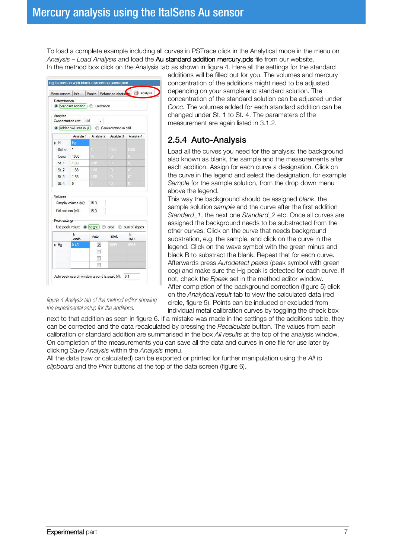To load a complete example including all curves in PSTrace click in the Analytical mode in the menu on *Analysis – Load Analysis* and load the Au standard addition mercury.pds file from our website. In the method box click on the Analysis tab as shown in [figure 4.](#page-6-1) Here all the settings for the standard

| Measurement                               | Info                                                                                                                                                | Peaks                           |      | Reference electronie CO Analysis |  |  |
|-------------------------------------------|-----------------------------------------------------------------------------------------------------------------------------------------------------|---------------------------------|------|----------------------------------|--|--|
| Determination                             |                                                                                                                                                     | Standard addition   Calibration |      |                                  |  |  |
| Analytes                                  | Concentration unit: uM                                                                                                                              |                                 |      |                                  |  |  |
| Added volumes in ul concentration in cell |                                                                                                                                                     |                                 |      |                                  |  |  |
|                                           |                                                                                                                                                     | Analyte 1 Analyte 2 Analyte 3   |      | Analyte 4                        |  |  |
| H                                         | Hq                                                                                                                                                  |                                 |      |                                  |  |  |
| Sol nr.                                   | 1                                                                                                                                                   |                                 | 1000 | 1000                             |  |  |
| Conc                                      | 1000                                                                                                                                                | 10                              | ī.   | ίt                               |  |  |
| St1                                       | 1.88                                                                                                                                                | 1.88                            | 13   | 10                               |  |  |
| St2                                       | 1.88                                                                                                                                                | 186                             | 14   | 10                               |  |  |
| St.3                                      | 1.88                                                                                                                                                | 188                             | 10   | 10                               |  |  |
| St 4                                      | $\Omega$                                                                                                                                            | Đ                               | 19   | 10                               |  |  |
|                                           | Sample volume (ml):<br>15.0<br>Cell volume (ml):<br>15.0<br>Peak settings<br>Use peak value: O height area sum of slopes<br>F<br>F<br>Auto<br>Eleft |                                 |      |                                  |  |  |
| Volumes                                   |                                                                                                                                                     |                                 |      |                                  |  |  |
|                                           | peak                                                                                                                                                |                                 |      | right                            |  |  |
| H <sub>a</sub>                            | 0.45                                                                                                                                                | $\triangledown$                 | 3995 |                                  |  |  |
|                                           |                                                                                                                                                     | F<br>П                          |      |                                  |  |  |

<span id="page-6-1"></span>*figure 4 Analysis tab of the method editor showing the experimental setup for the additions.*

additions will be filled out for you. The volumes and mercury concentration of the additions might need to be adjusted depending on your sample and standard solution. The concentration of the standard solution can be adjusted under *Conc.* The volumes added for each standard addition can be changed under St. 1 to St. 4. The parameters of the measurement are again listed in [3.1.2.](#page-8-3)

#### <span id="page-6-0"></span>2.5.4 Auto-Analysis

Load all the curves you need for the analysis: the background also known as blank, the sample and the measurements after each addition. Assign for each curve a designation. Click on the curve in the legend and select the designation, for example *Sample* for the sample solution, from the drop down menu above the legend.

This way the background should be assigned *blank*, the sample solution *sample* and the curve after the first addition *Standard\_1*, the next one *Standard\_2* etc. Once all curves are assigned the background needs to be substracted from the other curves. Click on the curve that needs background substration, e.g. the sample, and click on the curve in the legend. Click on the wave symbol with the green minus and black B to substract the blank. Repeat that for each curve. Afterwards press *Autodetect peaks* (peak symbol with green cog) and make sure the Hg peak is detected for each curve. If not, check the *Epeak* set in the method editor window. After completion of the background correction [\(figure 5\)](#page-7-0) click on the *Analytical result* tab to view the calculated data (red circle, [figure 5\)](#page-7-0). Points can be included or excluded from individual metal calibration curves by toggling the check box

next to that addition as seen in [figure 6.](#page-7-1) If a mistake was made in the settings of the additions table, they can be corrected and the data recalculated by pressing the *Recalculate* button. The values from each calibration or standard addition are summarised in the box *All results* at the top of the analysis window. On completion of the measurements you can save all the data and curves in one file for use later by clicking *Save Analysis* within the *Analysis* menu.

All the data (raw or calculated) can be exported or printed for further manipulation using the *All to clipboard* and the *Print* buttons at the top of the data screen [\(figure 6\).](#page-7-1)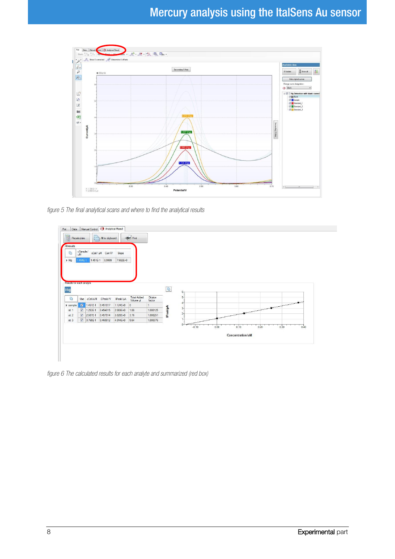

<span id="page-7-0"></span>*figure 5 The final analytical scans and where to find the analytical results* 



<span id="page-7-1"></span>*figure 6 The calculated results for each analyte and summarized (red box)*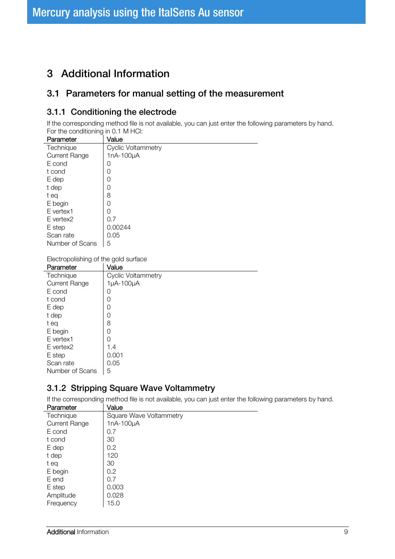# <span id="page-8-0"></span>3 Additional Information

#### <span id="page-8-1"></span>3.1 Parameters for manual setting of the measurement

#### <span id="page-8-2"></span>3.1.1 Conditioning the electrode

If the corresponding method file is not available, you can just enter the following parameters by hand. For the conditioning in 0.1 M HCl:

| Parameter            | Value                     |
|----------------------|---------------------------|
| Technique            | <b>Cyclic Voltammetry</b> |
| <b>Current Range</b> | 1nA-100µA                 |
| E cond               | 0                         |
| t cond               | 0                         |
| E dep                | 0                         |
| t dep                | 0                         |
| t eq                 | 8                         |
| E begin              | 0                         |
| E vertex1            | 0                         |
| E vertex2            | 0.7                       |
| E step               | 0.00244                   |
| Scan rate            | 0.05                      |
| Number of Scans      | 5                         |

Electropolishing of the gold surface

| Parameter            | Value                     |
|----------------------|---------------------------|
| Technique            | <b>Cyclic Voltammetry</b> |
| <b>Current Range</b> | 1µA-100µA                 |
| E cond               | 0                         |
| t cond               | 0                         |
| E dep                | 0                         |
| t dep                | 0                         |
| t eq                 | 8                         |
| E begin              | 0                         |
| E vertex1            | Ω                         |
| E vertex2            | 1.4                       |
| E step               | 0.001                     |
| Scan rate            | 0.05                      |
| Number of Scans      | 5                         |

#### <span id="page-8-3"></span>3.1.2 Stripping Square Wave Voltammetry

If the corresponding method file is not available, you can just enter the following parameters by hand.

| Parameter            | Value                          |
|----------------------|--------------------------------|
| Technique            | <b>Square Wave Voltammetry</b> |
| <b>Current Range</b> | 1nA-100µA                      |
| E cond               | 0.7                            |
| t cond               | 30                             |
| E dep                | 0.2                            |
| t dep                | 120                            |
| t ea                 | 30                             |
| E begin              | 0.2                            |
| E end                | 0.7                            |
| E step               | 0.003                          |
| Amplitude            | 0.028                          |
| Frequency            | 15.0                           |
|                      |                                |